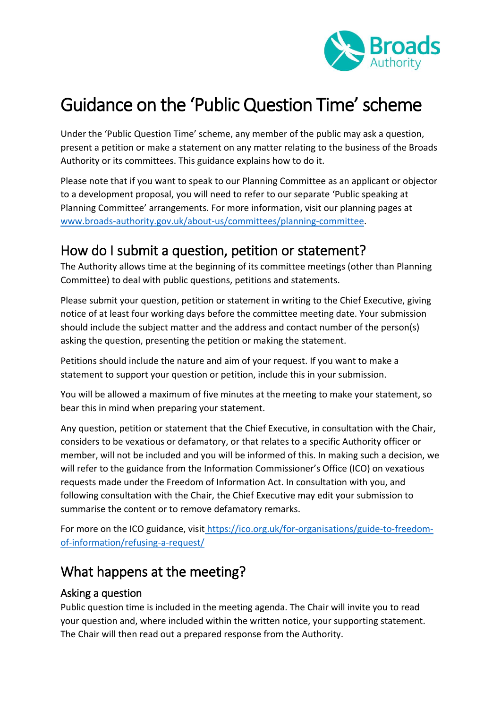

# Guidance on the 'Public Question Time' scheme

Under the 'Public Question Time' scheme, any member of the public may ask a question, present a petition or make a statement on any matter relating to the business of the Broads Authority or its committees. This guidance explains how to do it.

Please note that if you want to speak to our Planning Committee as an applicant or objector to a development proposal, you will need to refer to our separate 'Public speaking at Planning Committee' arrangements. For more information, visit our planning pages at [www.broads-authority.gov.uk/about-us/committees/planning-committee.](http://www.broads-authority.gov.uk/about-us/committees/planning-committee)

## How do I submit a question, petition or statement?

The Authority allows time at the beginning of its committee meetings (other than Planning Committee) to deal with public questions, petitions and statements.

Please submit your question, petition or statement in writing to the Chief Executive, giving notice of at least four working days before the committee meeting date. Your submission should include the subject matter and the address and contact number of the person(s) asking the question, presenting the petition or making the statement.

Petitions should include the nature and aim of your request. If you want to make a statement to support your question or petition, include this in your submission.

You will be allowed a maximum of five minutes at the meeting to make your statement, so bear this in mind when preparing your statement.

Any question, petition or statement that the Chief Executive, in consultation with the Chair, considers to be vexatious or defamatory, or that relates to a specific Authority officer or member, will not be included and you will be informed of this. In making such a decision, we will refer to the guidance from the Information Commissioner's Office (ICO) on vexatious requests made under the Freedom of Information Act. In consultation with you, and following consultation with the Chair, the Chief Executive may edit your submission to summarise the content or to remove defamatory remarks.

For more on the ICO guidance, visit [https://ico.org.uk/for-organisations/guide-to-freedom](https://ico.org.uk/for-organisations/guide-to-freedom-of-information/refusing-a-request/)[of-information/refusing-a-request/](https://ico.org.uk/for-organisations/guide-to-freedom-of-information/refusing-a-request/)

## What happens at the meeting?

### Asking a question

Public question time is included in the meeting agenda. The Chair will invite you to read your question and, where included within the written notice, your supporting statement. The Chair will then read out a prepared response from the Authority.